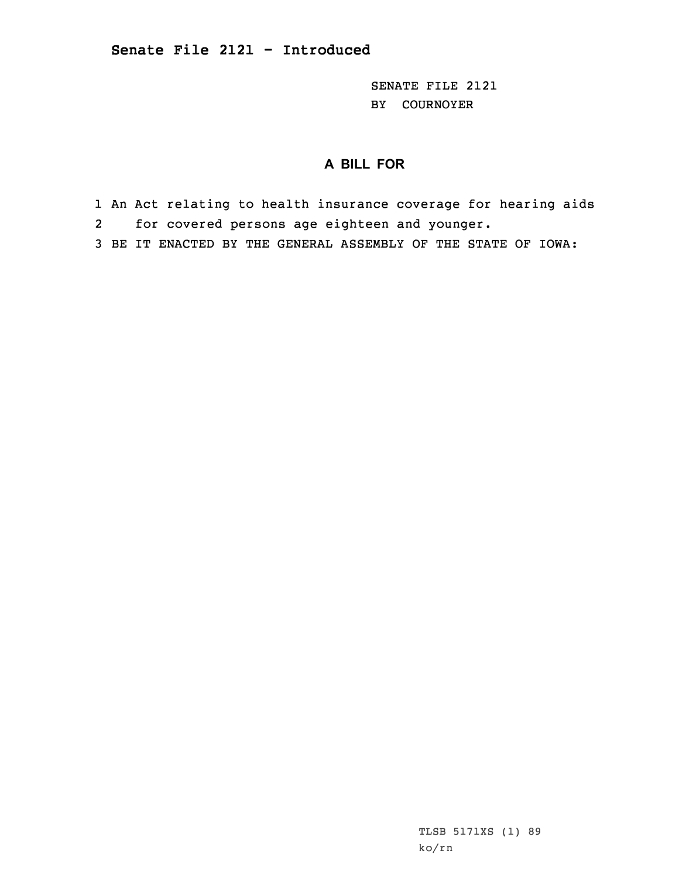SENATE FILE 2121 BY COURNOYER

## **A BILL FOR**

- 1 An Act relating to health insurance coverage for hearing aids
- 2for covered persons age eighteen and younger.
- 3 BE IT ENACTED BY THE GENERAL ASSEMBLY OF THE STATE OF IOWA:

TLSB 5171XS (1) 89 ko/rn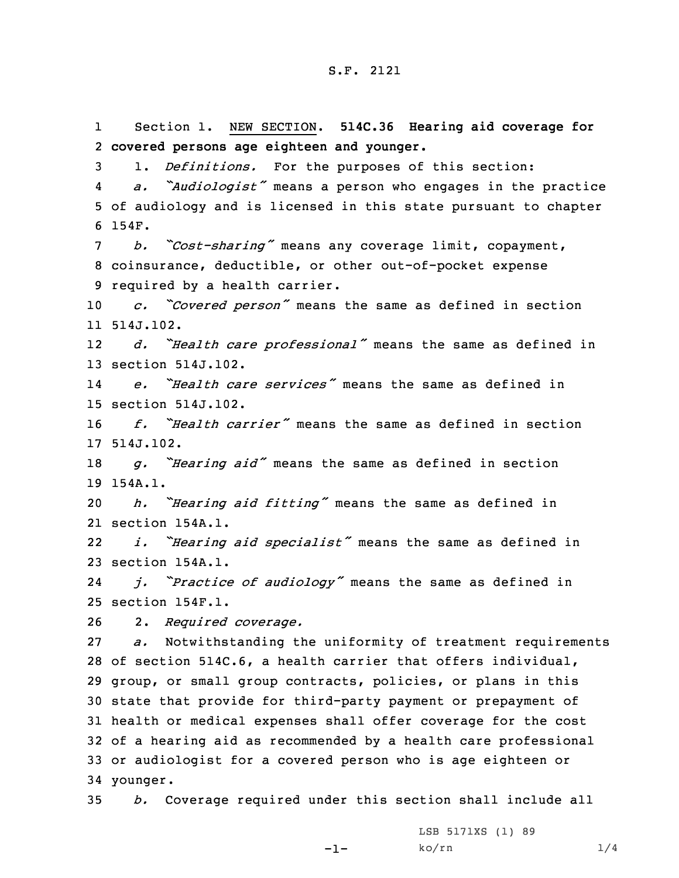1 Section 1. NEW SECTION. **514C.36 Hearing aid coverage for covered persons age eighteen and younger.** 1. *Definitions.* For the purposes of this section: 4 *a. "Audiologist"* means <sup>a</sup> person who engages in the practice of audiology and is licensed in this state pursuant to chapter 6 154F. *b. "Cost-sharing"* means any coverage limit, copayment, coinsurance, deductible, or other out-of-pocket expense required by <sup>a</sup> health carrier. *c. "Covered person"* means the same as defined in section 514J.102. 12 *d. "Health care professional"* means the same as defined in section 514J.102. 14 *e. "Health care services"* means the same as defined in section 514J.102. *f. "Health carrier"* means the same as defined in section 514J.102. *g. "Hearing aid"* means the same as defined in section 19 154A.1. *h. "Hearing aid fitting"* means the same as defined in section 154A.1. 22 *i. "Hearing aid specialist"* means the same as defined in section 154A.1. 24 *j. "Practice of audiology"* means the same as defined in section 154F.1. 2. *Required coverage. a.* Notwithstanding the uniformity of treatment requirements of section 514C.6, <sup>a</sup> health carrier that offers individual, group, or small group contracts, policies, or plans in this state that provide for third-party payment or prepayment of health or medical expenses shall offer coverage for the cost of <sup>a</sup> hearing aid as recommended by <sup>a</sup> health care professional or audiologist for <sup>a</sup> covered person who is age eighteen or 34 younger. *b.* Coverage required under this section shall include all

-1-

LSB 5171XS (1) 89  $k$ o/rn  $1/4$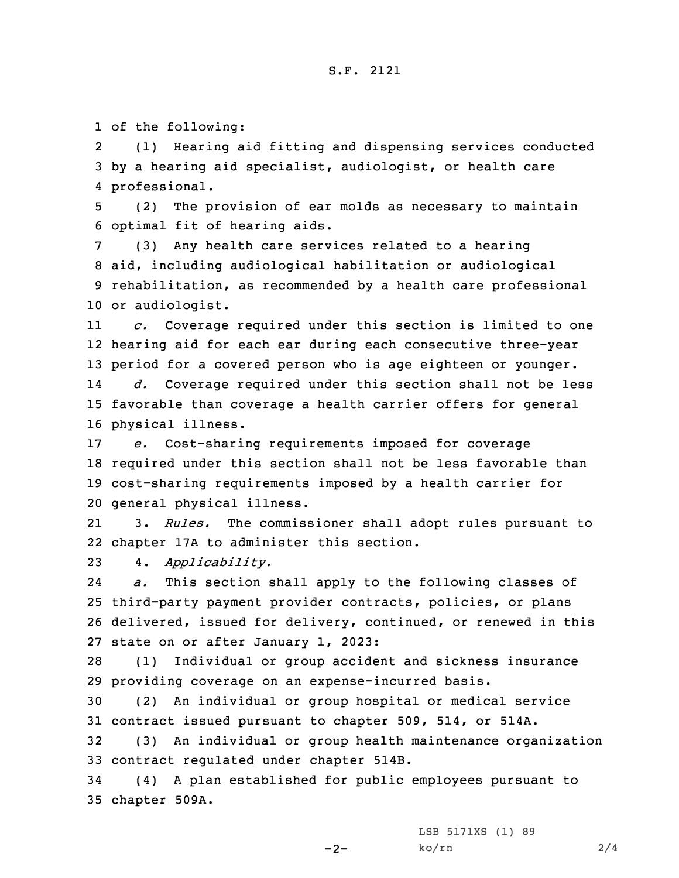## S.F. 2121

1 of the following:

2 (1) Hearing aid fitting and dispensing services conducted 3 by <sup>a</sup> hearing aid specialist, audiologist, or health care 4 professional.

5 (2) The provision of ear molds as necessary to maintain 6 optimal fit of hearing aids.

 (3) Any health care services related to <sup>a</sup> hearing aid, including audiological habilitation or audiological rehabilitation, as recommended by <sup>a</sup> health care professional or audiologist.

11 *c.* Coverage required under this section is limited to one 12 hearing aid for each ear during each consecutive three-year 13 period for <sup>a</sup> covered person who is age eighteen or younger. 14 *d.* Coverage required under this section shall not be less 15 favorable than coverage <sup>a</sup> health carrier offers for general 16 physical illness.

 *e.* Cost-sharing requirements imposed for coverage required under this section shall not be less favorable than cost-sharing requirements imposed by <sup>a</sup> health carrier for general physical illness.

21 3. *Rules.* The commissioner shall adopt rules pursuant to 22 chapter 17A to administer this section.

23 4. *Applicability.*

24 *a.* This section shall apply to the following classes of 25 third-party payment provider contracts, policies, or plans 26 delivered, issued for delivery, continued, or renewed in this 27 state on or after January 1, 2023:

28 (1) Individual or group accident and sickness insurance 29 providing coverage on an expense-incurred basis.

30 (2) An individual or group hospital or medical service 31 contract issued pursuant to chapter 509, 514, or 514A.

32 (3) An individual or group health maintenance organization 33 contract regulated under chapter 514B.

34 (4) <sup>A</sup> plan established for public employees pursuant to 35 chapter 509A.

 $-2-$ 

LSB 5171XS (1) 89 ko/rn 2/4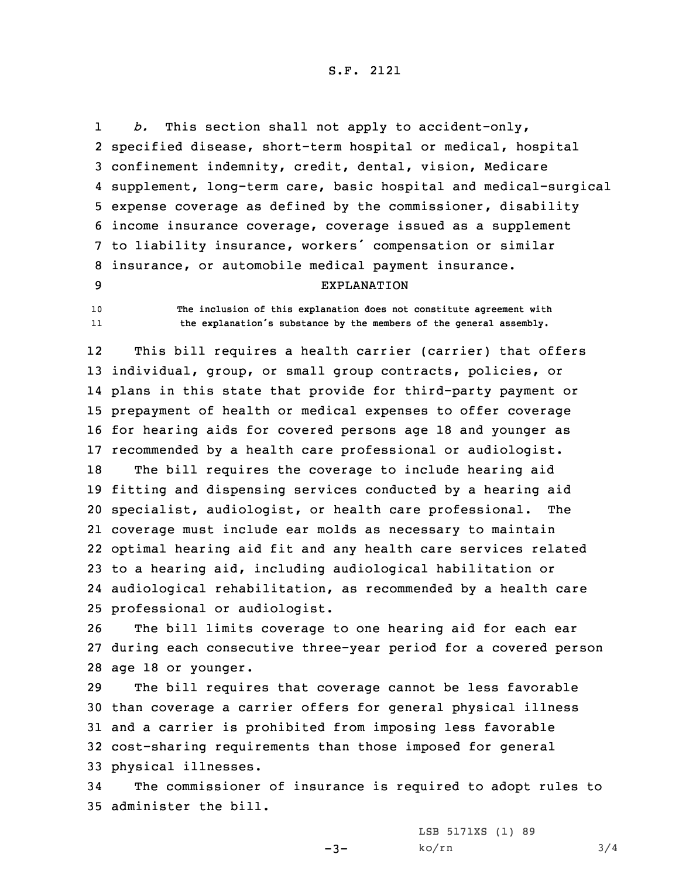S.F. 2121

1 *b.* This section shall not apply to accident-only, specified disease, short-term hospital or medical, hospital confinement indemnity, credit, dental, vision, Medicare supplement, long-term care, basic hospital and medical-surgical expense coverage as defined by the commissioner, disability income insurance coverage, coverage issued as <sup>a</sup> supplement to liability insurance, workers' compensation or similar insurance, or automobile medical payment insurance. EXPLANATION

10 **The inclusion of this explanation does not constitute agreement with** 11**the explanation's substance by the members of the general assembly.**

12 This bill requires <sup>a</sup> health carrier (carrier) that offers individual, group, or small group contracts, policies, or plans in this state that provide for third-party payment or prepayment of health or medical expenses to offer coverage for hearing aids for covered persons age 18 and younger as recommended by <sup>a</sup> health care professional or audiologist. The bill requires the coverage to include hearing aid fitting and dispensing services conducted by <sup>a</sup> hearing aid specialist, audiologist, or health care professional. The coverage must include ear molds as necessary to maintain optimal hearing aid fit and any health care services related to <sup>a</sup> hearing aid, including audiological habilitation or audiological rehabilitation, as recommended by <sup>a</sup> health care professional or audiologist.

26 The bill limits coverage to one hearing aid for each ear 27 during each consecutive three-year period for <sup>a</sup> covered person 28 age 18 or younger.

 The bill requires that coverage cannot be less favorable than coverage <sup>a</sup> carrier offers for general physical illness and <sup>a</sup> carrier is prohibited from imposing less favorable cost-sharing requirements than those imposed for general physical illnesses.

34 The commissioner of insurance is required to adopt rules to 35 administer the bill.

 $-3-$ 

LSB 5171XS (1) 89  $ko/rn$  3/4